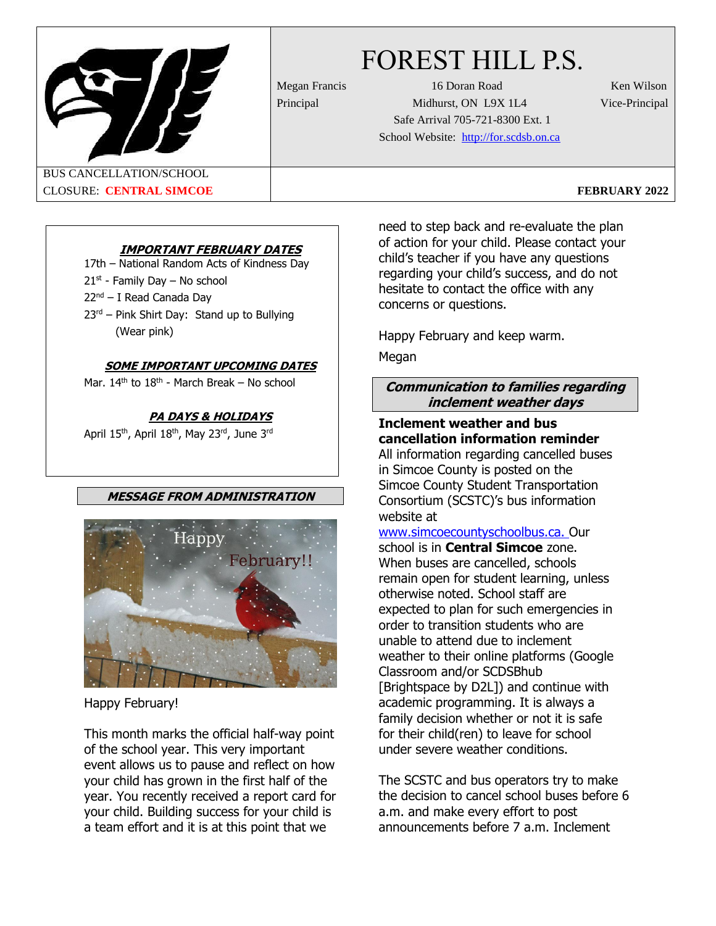FOREST HILL P.S.

Megan Francis 16 Doran Road Ken Wilson Principal Midhurst, ON L9X 1L4 Vice-Principal Safe Arrival 705-721-8300 Ext. 1 School Website: [http://for.scdsb.on.ca](about:blank)

BUS CANCELLATION/SCHOOL CLOSURE: **CENTRAL SIMCOE FEBRUARY 2022**

# **IMPORTANT FEBRUARY DATES**

17th – National Random Acts of Kindness Day

- 21<sup>st</sup> Family Day No school
- 22nd I Read Canada Day
- $23<sup>rd</sup>$  Pink Shirt Day: Stand up to Bullying (Wear pink)

# **SOME IMPORTANT UPCOMING DATES**

Mar. 14<sup>th</sup> to 18<sup>th</sup> - March Break – No school

# **PA DAYS & HOLIDAYS**

April 15<sup>th</sup>, April 18<sup>th</sup>, May 23<sup>rd</sup>, June 3<sup>rd</sup>

# **MESSAGE FROM ADMINISTRATION**



Happy February!

This month marks the official half-way point of the school year. This very important event allows us to pause and reflect on how your child has grown in the first half of the year. You recently received a report card for your child. Building success for your child is a team effort and it is at this point that we

need to step back and re-evaluate the plan of action for your child. Please contact your child's teacher if you have any questions regarding your child's success, and do not hesitate to contact the office with any concerns or questions.

Happy February and keep warm.

Megan

# **Communication to families regarding inclement weather days**

## **Inclement weather and bus cancellation information reminder** All information regarding cancelled buses in Simcoe County is posted on the Simcoe County Student Transportation Consortium (SCSTC)'s bus information

website at www.simcoecountyschoolbus.ca. Our

school is in **Central Simcoe** zone. When buses are cancelled, schools remain open for student learning, unless otherwise noted. School staff are expected to plan for such emergencies in order to transition students who are unable to attend due to inclement weather to their online platforms (Google Classroom and/or SCDSBhub [Brightspace by D2L]) and continue with academic programming. It is always a family decision whether or not it is safe for their child(ren) to leave for school under severe weather conditions.

The SCSTC and bus operators try to make the decision to cancel school buses before 6 a.m. and make every effort to post announcements before 7 a.m. Inclement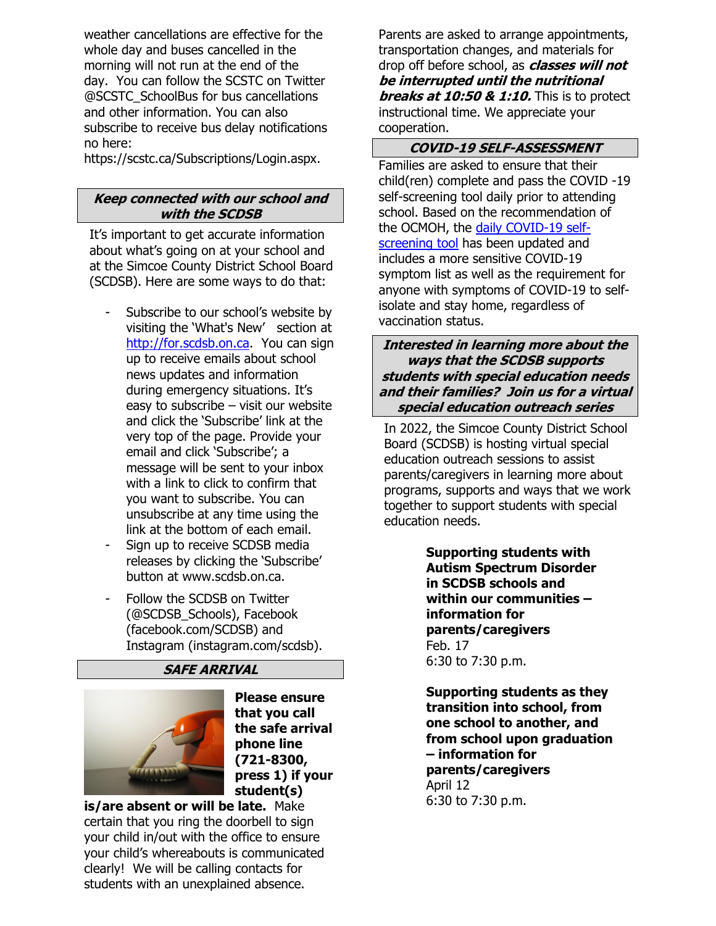weather cancellations are effective for the whole day and buses cancelled in the morning will not run at the end of the day. You can follow the SCSTC on Twitter @SCSTC\_SchoolBus for bus cancellations and other information. You can also subscribe to receive bus delay notifications no here:

https://scstc.ca/Subscriptions/Login.aspx.

## **Keep connected with our school and with the SCDSB**

It's important to get accurate information about what's going on at your school and at the Simcoe County District School Board (SCDSB). Here are some ways to do that:

- Subscribe to our school's website by visiting the 'What's New' section at [http://for.scdsb.on.ca.](http://for.scdsb.on.ca/) You can sign up to receive emails about school news updates and information during emergency situations. It's easy to subscribe – visit our website and click the 'Subscribe' link at the very top of the page. Provide your email and click 'Subscribe'; a message will be sent to your inbox with a link to click to confirm that you want to subscribe. You can unsubscribe at any time using the link at the bottom of each email.
- Sign up to receive SCDSB media releases by clicking the 'Subscribe' button at [www.scdsb.on.ca.](about:blank)
- Follow the SCDSB on Twitter (@SCDSB\_Schools), Facebook (facebook.com/SCDSB) and Instagram (instagram.com/scdsb).

# **SAFE ARRIVAL**



**Please ensure that you call the safe arrival phone line (721-8300, press 1) if your student(s)** 

**is/are absent or will be late.** Make certain that you ring the doorbell to sign your child in/out with the office to ensure your child's whereabouts is communicated clearly! We will be calling contacts for students with an unexplained absence.

Parents are asked to arrange appointments, transportation changes, and materials for drop off before school, as **classes will not be interrupted until the nutritional breaks at 10:50 & 1:10.** This is to protect instructional time. We appreciate your cooperation.

## **COVID-19 SELF-ASSESSMENT**

Families are asked to ensure that their child(ren) complete and pass the COVID -19 self-screening tool daily prior to attending school. Based on the recommendation of the OCMOH, the daily COVID-19 selfscreening tool has been updated and includes a more sensitive COVID-19 symptom list as well as the requirement for anyone with symptoms of COVID-19 to selfisolate and stay home, regardless of vaccination status.

**Interested in learning more about the ways that the SCDSB supports students with special education needs and their families? Join us for a virtual special education outreach series**

In 2022, the Simcoe County District School Board (SCDSB) is hosting virtual special education outreach sessions to assist parents/caregivers in learning more about programs, supports and ways that we work together to support students with special education needs.

> **Supporting students with Autism Spectrum Disorder in SCDSB schools and within our communities – information for parents/caregivers** Feb. 17 6:30 to 7:30 p.m.

**Supporting students as they transition into school, from one school to another, and from school upon graduation – information for parents/caregivers** April 12 6:30 to 7:30 p.m.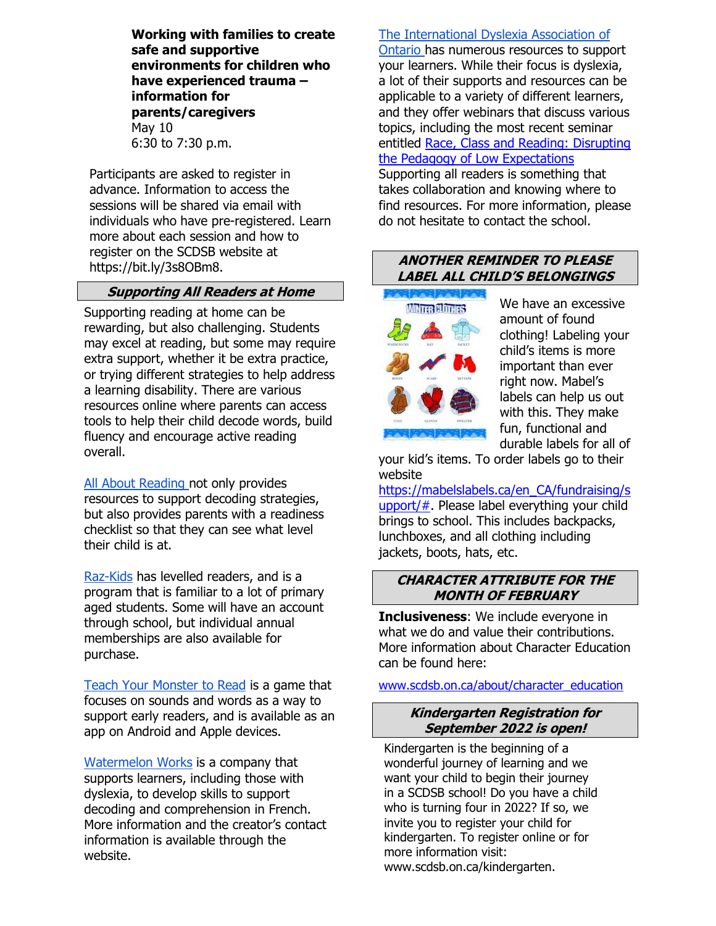**Working with families to create safe and supportive environments for children who have experienced trauma – information for parents/caregivers** May 10 6:30 to 7:30 p.m.

Participants are asked to register in advance. Information to access the sessions will be shared via email with individuals who have pre-registered. Learn more about each session and how to register on the SCDSB website at https://bit.ly/3s8OBm8.

# **Supporting All Readers at Home**

Supporting reading at home can be rewarding, but also challenging. Students may excel at reading, but some may require extra support, whether it be extra practice, or trying different strategies to help address a learning disability. There are various resources online where parents can access tools to help their child decode words, build fluency and encourage active reading overall.

All About [Reading](about:blank) not only provides resources to support decoding strategies, but also provides parents with a readiness checklist so that they can see what level their child is at.

[Raz-Kids](about:blank) has levelled readers, and is a program that is familiar to a lot of primary aged students. Some will have an account through school, but individual annual memberships are also available for purchase.

Teach Your [Monster](about:blank) to Read is a game that focuses on sounds and words as a way to support early readers, and is available as an app on Android and Apple devices.

[Watermelon](about:blank) Works is a company that supports learners, including those with dyslexia, to develop skills to support decoding and comprehension in French. More information and the creator's contact information is available through the website.

## The [International](about:blank) Dyslexia Association of

[Ontario](about:blank) has numerous resources to support your learners. While their focus is dyslexia, a lot of their supports and resources can be applicable to a variety of different learners, and they offer webinars that discuss various topics, including the most recent seminar entitled Race, Class and Reading: [Disrupting](about:blank) the Pedagogy of Low [Expectations](about:blank)

Supporting all readers is something that takes collaboration and knowing where to find resources. For more information, please do not hesitate to contact the school.

## **ANOTHER REMINDER TO PLEASE LABEL ALL CHILD'S BELONGINGS**



We have an excessive amount of found clothing! Labeling your child's items is more important than ever right now. Mabel's labels can help us out with this. They make fun, functional and durable labels for all of

your kid's items. To order labels go to their website

https://mabelslabels.ca/en CA/fundraising/s [upport/#.](about:blank) Please label everything your child brings to school. This includes backpacks, lunchboxes, and all clothing including jackets, boots, hats, etc.

### **CHARACTER ATTRIBUTE FOR THE MONTH OF FEBRUARY**

**Inclusiveness**: We include everyone in what we do and value their contributions. More information about Character Education can be found here:

[www.scdsb.on.ca/about/character\\_education](about:blank)

#### **Kindergarten Registration for September 2022 is open!**

Kindergarten is the beginning of a wonderful journey of learning and we want your child to begin their journey in a SCDSB school! Do you have a child who is turning four in 2022? If so, we invite you to register your child for kindergarten. To register online or for more information visit: [www.scdsb.on.ca/](about:blank)kindergarten.